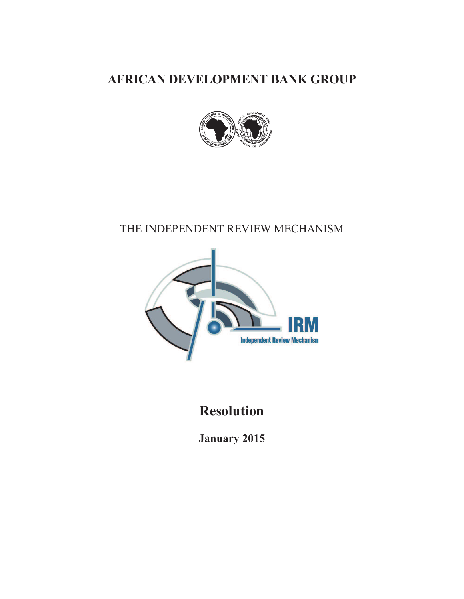**AFRICAN DEVELOPMENT BANK GROUP** 



# THE INDEPENDENT REVIEW MECHANISM



# **Resolution**

**January 2015**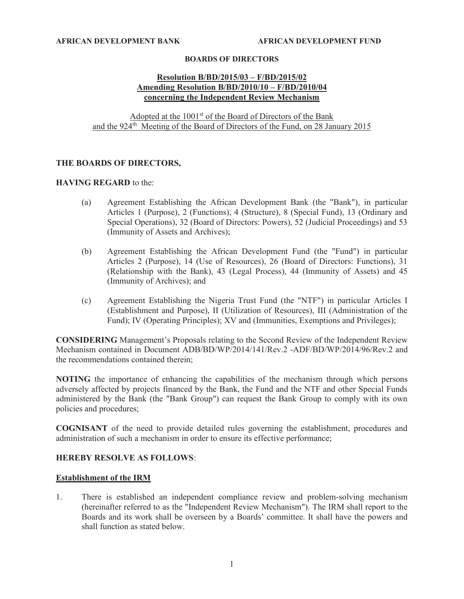#### **BOARDS OF DIRECTORS**

#### **Resolution B/BD/2015/03 – F/BD/2015/02 Amending Resolution B/BD/2010/10 – F/BD/2010/04 concerning the Independent Review Mechanism**

Adopted at the 1001<sup>st</sup> of the Board of Directors of the Bank and the  $924<sup>th</sup>$  Meeting of the Board of Directors of the Fund, on 28 January 2015

#### **THE BOARDS OF DIRECTORS,**

#### **HAVING REGARD** to the:

- (a) Agreement Establishing the African Development Bank (the "Bank"), in particular Articles 1 (Purpose), 2 (Functions), 4 (Structure), 8 (Special Fund), 13 (Ordinary and Special Operations), 32 (Board of Directors: Powers), 52 (Judicial Proceedings) and 53 (Immunity of Assets and Archives);
- (b) Agreement Establishing the African Development Fund (the "Fund") in particular Articles 2 (Purpose), 14 (Use of Resources), 26 (Board of Directors: Functions), 31 (Relationship with the Bank), 43 (Legal Process), 44 (Immunity of Assets) and 45 (Immunity of Archives); and
- (c) Agreement Establishing the Nigeria Trust Fund (the "NTF") in particular Articles I (Establishment and Purpose), II (Utilization of Resources), III (Administration of the Fund); IV (Operating Principles); XV and (Immunities, Exemptions and Privileges);

**CONSIDERING** Management's Proposals relating to the Second Review of the Independent Review Mechanism contained in Document ADB/BD/WP/2014/141/Rev.2 -ADF/BD/WP/2014/96/Rev.2 and the recommendations contained therein;

**NOTING** the importance of enhancing the capabilities of the mechanism through which persons adversely affected by projects financed by the Bank, the Fund and the NTF and other Special Funds administered by the Bank (the "Bank Group") can request the Bank Group to comply with its own policies and procedures;

**COGNISANT** of the need to provide detailed rules governing the establishment, procedures and administration of such a mechanism in order to ensure its effective performance;

#### **HEREBY RESOLVE AS FOLLOWS**:

#### **Establishment of the IRM**

1. There is established an independent compliance review and problem-solving mechanism (hereinafter referred to as the "Independent Review Mechanism"). The IRM shall report to the Boards and its work shall be overseen by a Boards' committee. It shall have the powers and shall function as stated below.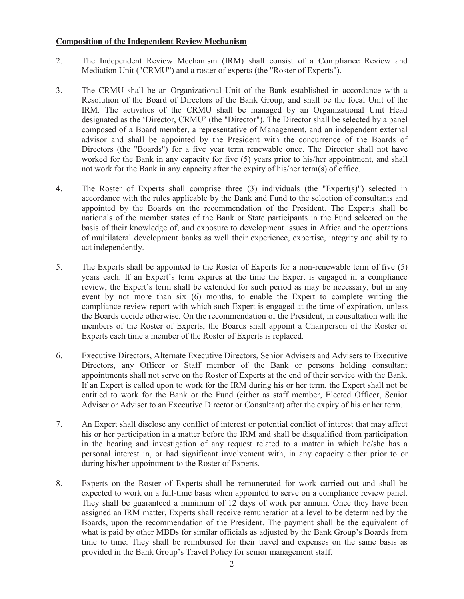#### **Composition of the Independent Review Mechanism**

- 2. The Independent Review Mechanism (IRM) shall consist of a Compliance Review and Mediation Unit ("CRMU") and a roster of experts (the "Roster of Experts").
- 3. The CRMU shall be an Organizational Unit of the Bank established in accordance with a Resolution of the Board of Directors of the Bank Group, and shall be the focal Unit of the IRM. The activities of the CRMU shall be managed by an Organizational Unit Head designated as the 'Director, CRMU' (the "Director"). The Director shall be selected by a panel composed of a Board member, a representative of Management, and an independent external advisor and shall be appointed by the President with the concurrence of the Boards of Directors (the "Boards") for a five year term renewable once. The Director shall not have worked for the Bank in any capacity for five (5) years prior to his/her appointment, and shall not work for the Bank in any capacity after the expiry of his/her term(s) of office.
- 4. The Roster of Experts shall comprise three (3) individuals (the "Expert(s)") selected in accordance with the rules applicable by the Bank and Fund to the selection of consultants and appointed by the Boards on the recommendation of the President. The Experts shall be nationals of the member states of the Bank or State participants in the Fund selected on the basis of their knowledge of, and exposure to development issues in Africa and the operations of multilateral development banks as well their experience, expertise, integrity and ability to act independently.
- 5. The Experts shall be appointed to the Roster of Experts for a non-renewable term of five (5) years each. If an Expert's term expires at the time the Expert is engaged in a compliance review, the Expert's term shall be extended for such period as may be necessary, but in any event by not more than six (6) months, to enable the Expert to complete writing the compliance review report with which such Expert is engaged at the time of expiration, unless the Boards decide otherwise. On the recommendation of the President, in consultation with the members of the Roster of Experts, the Boards shall appoint a Chairperson of the Roster of Experts each time a member of the Roster of Experts is replaced.
- 6. Executive Directors, Alternate Executive Directors, Senior Advisers and Advisers to Executive Directors, any Officer or Staff member of the Bank or persons holding consultant appointments shall not serve on the Roster of Experts at the end of their service with the Bank. If an Expert is called upon to work for the IRM during his or her term, the Expert shall not be entitled to work for the Bank or the Fund (either as staff member, Elected Officer, Senior Adviser or Adviser to an Executive Director or Consultant) after the expiry of his or her term.
- 7. An Expert shall disclose any conflict of interest or potential conflict of interest that may affect his or her participation in a matter before the IRM and shall be disqualified from participation in the hearing and investigation of any request related to a matter in which he/she has a personal interest in, or had significant involvement with, in any capacity either prior to or during his/her appointment to the Roster of Experts.
- 8. Experts on the Roster of Experts shall be remunerated for work carried out and shall be expected to work on a full-time basis when appointed to serve on a compliance review panel. They shall be guaranteed a minimum of 12 days of work per annum. Once they have been assigned an IRM matter, Experts shall receive remuneration at a level to be determined by the Boards, upon the recommendation of the President. The payment shall be the equivalent of what is paid by other MBDs for similar officials as adjusted by the Bank Group's Boards from time to time. They shall be reimbursed for their travel and expenses on the same basis as provided in the Bank Group's Travel Policy for senior management staff.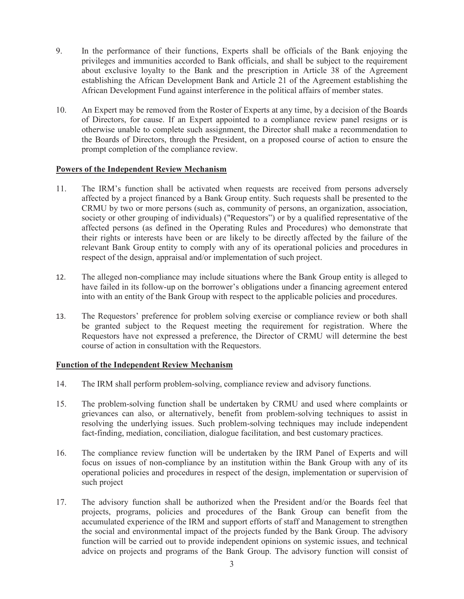- 9. In the performance of their functions, Experts shall be officials of the Bank enjoying the privileges and immunities accorded to Bank officials, and shall be subject to the requirement about exclusive loyalty to the Bank and the prescription in Article 38 of the Agreement establishing the African Development Bank and Article 21 of the Agreement establishing the African Development Fund against interference in the political affairs of member states.
- 10. An Expert may be removed from the Roster of Experts at any time, by a decision of the Boards of Directors, for cause. If an Expert appointed to a compliance review panel resigns or is otherwise unable to complete such assignment, the Director shall make a recommendation to the Boards of Directors, through the President, on a proposed course of action to ensure the prompt completion of the compliance review.

#### **Powers of the Independent Review Mechanism**

- 11. The IRM's function shall be activated when requests are received from persons adversely affected by a project financed by a Bank Group entity. Such requests shall be presented to the CRMU by two or more persons (such as, community of persons, an organization, association, society or other grouping of individuals) ("Requestors") or by a qualified representative of the affected persons (as defined in the Operating Rules and Procedures) who demonstrate that their rights or interests have been or are likely to be directly affected by the failure of the relevant Bank Group entity to comply with any of its operational policies and procedures in respect of the design, appraisal and/or implementation of such project.
- 12. The alleged non-compliance may include situations where the Bank Group entity is alleged to have failed in its follow-up on the borrower's obligations under a financing agreement entered into with an entity of the Bank Group with respect to the applicable policies and procedures.
- 13. The Requestors' preference for problem solving exercise or compliance review or both shall be granted subject to the Request meeting the requirement for registration. Where the Requestors have not expressed a preference, the Director of CRMU will determine the best course of action in consultation with the Requestors.

#### **Function of the Independent Review Mechanism**

- 14. The IRM shall perform problem-solving, compliance review and advisory functions.
- 15. The problem-solving function shall be undertaken by CRMU and used where complaints or grievances can also, or alternatively, benefit from problem-solving techniques to assist in resolving the underlying issues. Such problem-solving techniques may include independent fact-finding, mediation, conciliation, dialogue facilitation, and best customary practices.
- 16. The compliance review function will be undertaken by the IRM Panel of Experts and will focus on issues of non-compliance by an institution within the Bank Group with any of its operational policies and procedures in respect of the design, implementation or supervision of such project
- 17. The advisory function shall be authorized when the President and/or the Boards feel that projects, programs, policies and procedures of the Bank Group can benefit from the accumulated experience of the IRM and support efforts of staff and Management to strengthen the social and environmental impact of the projects funded by the Bank Group. The advisory function will be carried out to provide independent opinions on systemic issues, and technical advice on projects and programs of the Bank Group. The advisory function will consist of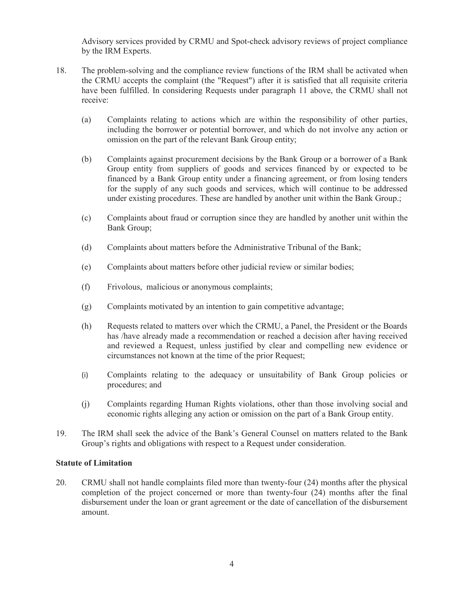Advisory services provided by CRMU and Spot-check advisory reviews of project compliance by the IRM Experts.

- 18. The problem-solving and the compliance review functions of the IRM shall be activated when the CRMU accepts the complaint (the "Request") after it is satisfied that all requisite criteria have been fulfilled. In considering Requests under paragraph 11 above, the CRMU shall not receive:
	- (a) Complaints relating to actions which are within the responsibility of other parties, including the borrower or potential borrower, and which do not involve any action or omission on the part of the relevant Bank Group entity;
	- (b) Complaints against procurement decisions by the Bank Group or a borrower of a Bank Group entity from suppliers of goods and services financed by or expected to be financed by a Bank Group entity under a financing agreement, or from losing tenders for the supply of any such goods and services, which will continue to be addressed under existing procedures. These are handled by another unit within the Bank Group.;
	- (c) Complaints about fraud or corruption since they are handled by another unit within the Bank Group;
	- (d) Complaints about matters before the Administrative Tribunal of the Bank;
	- (e) Complaints about matters before other judicial review or similar bodies;
	- (f) Frivolous, malicious or anonymous complaints;
	- (g) Complaints motivated by an intention to gain competitive advantage;
	- (h) Requests related to matters over which the CRMU, a Panel, the President or the Boards has /have already made a recommendation or reached a decision after having received and reviewed a Request, unless justified by clear and compelling new evidence or circumstances not known at the time of the prior Request;
	- (i) Complaints relating to the adequacy or unsuitability of Bank Group policies or procedures; and
	- (j) Complaints regarding Human Rights violations, other than those involving social and economic rights alleging any action or omission on the part of a Bank Group entity.
- 19. The IRM shall seek the advice of the Bank's General Counsel on matters related to the Bank Group's rights and obligations with respect to a Request under consideration.

#### **Statute of Limitation**

20. CRMU shall not handle complaints filed more than twenty-four (24) months after the physical completion of the project concerned or more than twenty-four (24) months after the final disbursement under the loan or grant agreement or the date of cancellation of the disbursement amount.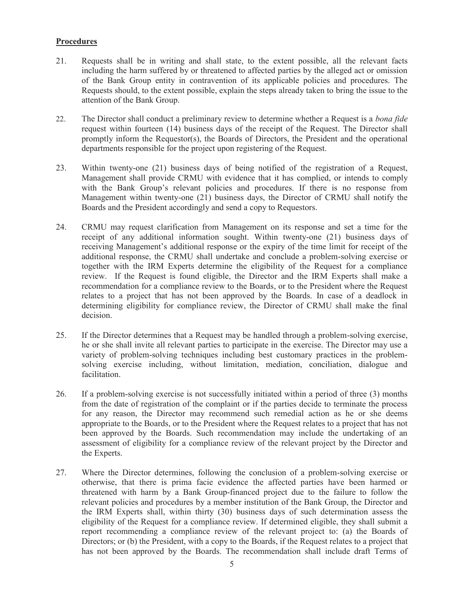## **Procedures**

- 21. Requests shall be in writing and shall state, to the extent possible, all the relevant facts including the harm suffered by or threatened to affected parties by the alleged act or omission of the Bank Group entity in contravention of its applicable policies and procedures. The Requests should, to the extent possible, explain the steps already taken to bring the issue to the attention of the Bank Group.
- 22. The Director shall conduct a preliminary review to determine whether a Request is a *bona fide*  request within fourteen (14) business days of the receipt of the Request. The Director shall promptly inform the Requestor(s), the Boards of Directors, the President and the operational departments responsible for the project upon registering of the Request.
- 23. Within twenty-one (21) business days of being notified of the registration of a Request, Management shall provide CRMU with evidence that it has complied, or intends to comply with the Bank Group's relevant policies and procedures. If there is no response from Management within twenty-one (21) business days, the Director of CRMU shall notify the Boards and the President accordingly and send a copy to Requestors.
- 24. CRMU may request clarification from Management on its response and set a time for the receipt of any additional information sought. Within twenty-one (21) business days of receiving Management's additional response or the expiry of the time limit for receipt of the additional response, the CRMU shall undertake and conclude a problem-solving exercise or together with the IRM Experts determine the eligibility of the Request for a compliance review. If the Request is found eligible, the Director and the IRM Experts shall make a recommendation for a compliance review to the Boards, or to the President where the Request relates to a project that has not been approved by the Boards. In case of a deadlock in determining eligibility for compliance review, the Director of CRMU shall make the final decision.
- 25. If the Director determines that a Request may be handled through a problem-solving exercise, he or she shall invite all relevant parties to participate in the exercise. The Director may use a variety of problem-solving techniques including best customary practices in the problemsolving exercise including, without limitation, mediation, conciliation, dialogue and facilitation.
- 26. If a problem-solving exercise is not successfully initiated within a period of three (3) months from the date of registration of the complaint or if the parties decide to terminate the process for any reason, the Director may recommend such remedial action as he or she deems appropriate to the Boards, or to the President where the Request relates to a project that has not been approved by the Boards. Such recommendation may include the undertaking of an assessment of eligibility for a compliance review of the relevant project by the Director and the Experts.
- 27. Where the Director determines, following the conclusion of a problem-solving exercise or otherwise, that there is prima facie evidence the affected parties have been harmed or threatened with harm by a Bank Group-financed project due to the failure to follow the relevant policies and procedures by a member institution of the Bank Group, the Director and the IRM Experts shall, within thirty (30) business days of such determination assess the eligibility of the Request for a compliance review. If determined eligible, they shall submit a report recommending a compliance review of the relevant project to: (a) the Boards of Directors; or (b) the President, with a copy to the Boards, if the Request relates to a project that has not been approved by the Boards. The recommendation shall include draft Terms of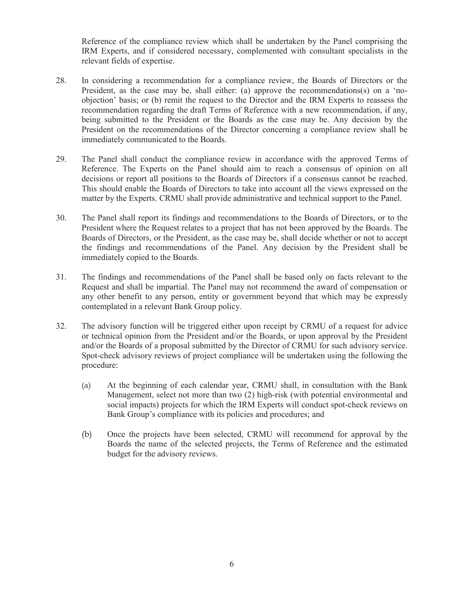Reference of the compliance review which shall be undertaken by the Panel comprising the IRM Experts, and if considered necessary, complemented with consultant specialists in the relevant fields of expertise.

- 28. In considering a recommendation for a compliance review, the Boards of Directors or the President, as the case may be, shall either: (a) approve the recommendations(s) on a 'noobjection' basis; or (b) remit the request to the Director and the IRM Experts to reassess the recommendation regarding the draft Terms of Reference with a new recommendation, if any, being submitted to the President or the Boards as the case may be. Any decision by the President on the recommendations of the Director concerning a compliance review shall be immediately communicated to the Boards.
- 29. The Panel shall conduct the compliance review in accordance with the approved Terms of Reference. The Experts on the Panel should aim to reach a consensus of opinion on all decisions or report all positions to the Boards of Directors if a consensus cannot be reached. This should enable the Boards of Directors to take into account all the views expressed on the matter by the Experts. CRMU shall provide administrative and technical support to the Panel.
- 30. The Panel shall report its findings and recommendations to the Boards of Directors, or to the President where the Request relates to a project that has not been approved by the Boards. The Boards of Directors, or the President, as the case may be, shall decide whether or not to accept the findings and recommendations of the Panel. Any decision by the President shall be immediately copied to the Boards.
- 31. The findings and recommendations of the Panel shall be based only on facts relevant to the Request and shall be impartial. The Panel may not recommend the award of compensation or any other benefit to any person, entity or government beyond that which may be expressly contemplated in a relevant Bank Group policy.
- 32. The advisory function will be triggered either upon receipt by CRMU of a request for advice or technical opinion from the President and/or the Boards, or upon approval by the President and/or the Boards of a proposal submitted by the Director of CRMU for such advisory service. Spot-check advisory reviews of project compliance will be undertaken using the following the procedure:
	- (a) At the beginning of each calendar year, CRMU shall, in consultation with the Bank Management, select not more than two (2) high-risk (with potential environmental and social impacts) projects for which the IRM Experts will conduct spot-check reviews on Bank Group's compliance with its policies and procedures; and
	- (b) Once the projects have been selected, CRMU will recommend for approval by the Boards the name of the selected projects, the Terms of Reference and the estimated budget for the advisory reviews.